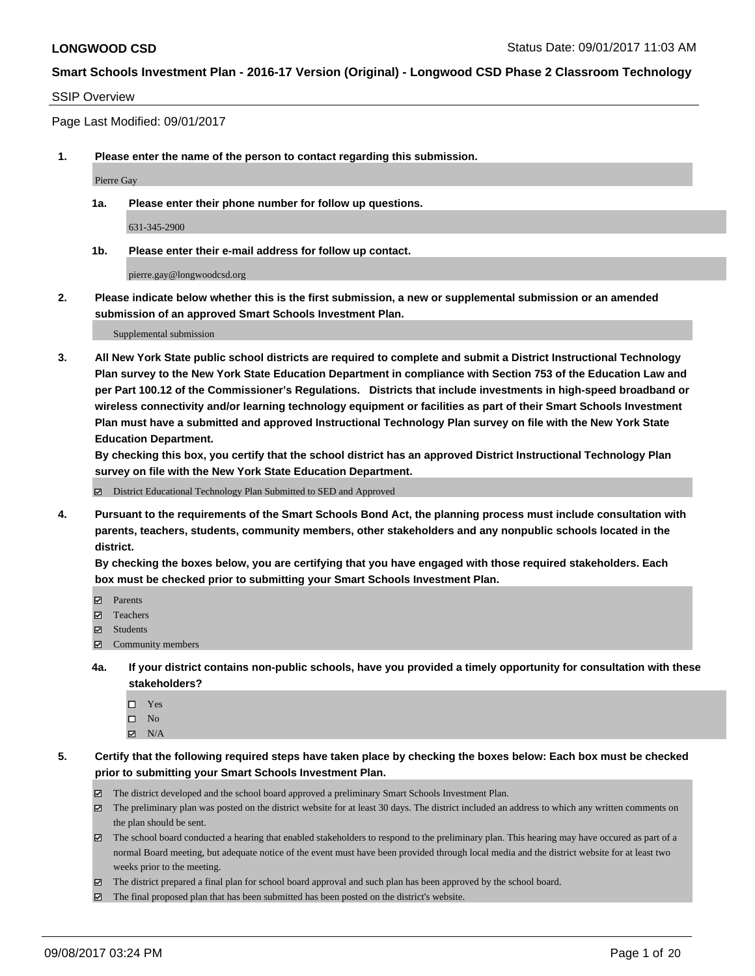#### SSIP Overview

Page Last Modified: 09/01/2017

**1. Please enter the name of the person to contact regarding this submission.**

Pierre Gay

**1a. Please enter their phone number for follow up questions.**

631-345-2900

**1b. Please enter their e-mail address for follow up contact.**

pierre.gay@longwoodcsd.org

**2. Please indicate below whether this is the first submission, a new or supplemental submission or an amended submission of an approved Smart Schools Investment Plan.**

Supplemental submission

**3. All New York State public school districts are required to complete and submit a District Instructional Technology Plan survey to the New York State Education Department in compliance with Section 753 of the Education Law and per Part 100.12 of the Commissioner's Regulations. Districts that include investments in high-speed broadband or wireless connectivity and/or learning technology equipment or facilities as part of their Smart Schools Investment Plan must have a submitted and approved Instructional Technology Plan survey on file with the New York State Education Department.** 

**By checking this box, you certify that the school district has an approved District Instructional Technology Plan survey on file with the New York State Education Department.**

District Educational Technology Plan Submitted to SED and Approved

**4. Pursuant to the requirements of the Smart Schools Bond Act, the planning process must include consultation with parents, teachers, students, community members, other stakeholders and any nonpublic schools located in the district.** 

**By checking the boxes below, you are certifying that you have engaged with those required stakeholders. Each box must be checked prior to submitting your Smart Schools Investment Plan.**

- **Parents**
- Teachers
- Students
- $\Xi$  Community members
- **4a. If your district contains non-public schools, have you provided a timely opportunity for consultation with these stakeholders?**
	- □ Yes
	- $\square$  No
	- $\boxtimes$  N/A
- **5. Certify that the following required steps have taken place by checking the boxes below: Each box must be checked prior to submitting your Smart Schools Investment Plan.**
	- The district developed and the school board approved a preliminary Smart Schools Investment Plan.
	- The preliminary plan was posted on the district website for at least 30 days. The district included an address to which any written comments on the plan should be sent.
	- The school board conducted a hearing that enabled stakeholders to respond to the preliminary plan. This hearing may have occured as part of a normal Board meeting, but adequate notice of the event must have been provided through local media and the district website for at least two weeks prior to the meeting.
	- The district prepared a final plan for school board approval and such plan has been approved by the school board.
	- $\boxtimes$  The final proposed plan that has been submitted has been posted on the district's website.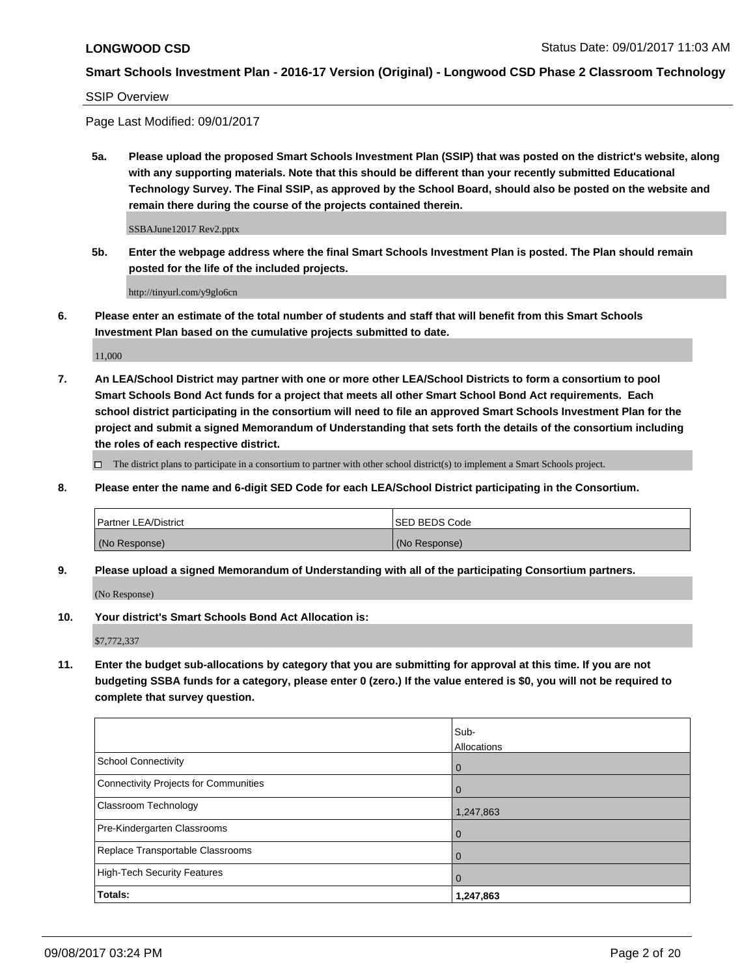SSIP Overview

Page Last Modified: 09/01/2017

**5a. Please upload the proposed Smart Schools Investment Plan (SSIP) that was posted on the district's website, along with any supporting materials. Note that this should be different than your recently submitted Educational Technology Survey. The Final SSIP, as approved by the School Board, should also be posted on the website and remain there during the course of the projects contained therein.**

SSBAJune12017 Rev2.pptx

**5b. Enter the webpage address where the final Smart Schools Investment Plan is posted. The Plan should remain posted for the life of the included projects.**

http://tinyurl.com/y9glo6cn

**6. Please enter an estimate of the total number of students and staff that will benefit from this Smart Schools Investment Plan based on the cumulative projects submitted to date.**

11,000

**7. An LEA/School District may partner with one or more other LEA/School Districts to form a consortium to pool Smart Schools Bond Act funds for a project that meets all other Smart School Bond Act requirements. Each school district participating in the consortium will need to file an approved Smart Schools Investment Plan for the project and submit a signed Memorandum of Understanding that sets forth the details of the consortium including the roles of each respective district.**

 $\Box$  The district plans to participate in a consortium to partner with other school district(s) to implement a Smart Schools project.

**8. Please enter the name and 6-digit SED Code for each LEA/School District participating in the Consortium.**

| <b>Partner LEA/District</b> | <b>ISED BEDS Code</b> |
|-----------------------------|-----------------------|
| (No Response)               | (No Response)         |

**9. Please upload a signed Memorandum of Understanding with all of the participating Consortium partners.**

(No Response)

**10. Your district's Smart Schools Bond Act Allocation is:**

\$7,772,337

**11. Enter the budget sub-allocations by category that you are submitting for approval at this time. If you are not budgeting SSBA funds for a category, please enter 0 (zero.) If the value entered is \$0, you will not be required to complete that survey question.**

|                                              | Sub-        |
|----------------------------------------------|-------------|
|                                              | Allocations |
| <b>School Connectivity</b>                   | 0           |
| <b>Connectivity Projects for Communities</b> | $\Omega$    |
| <b>Classroom Technology</b>                  | 1,247,863   |
| Pre-Kindergarten Classrooms                  | $\Omega$    |
| Replace Transportable Classrooms             | 0           |
| <b>High-Tech Security Features</b>           | 0           |
| Totals:                                      | 1,247,863   |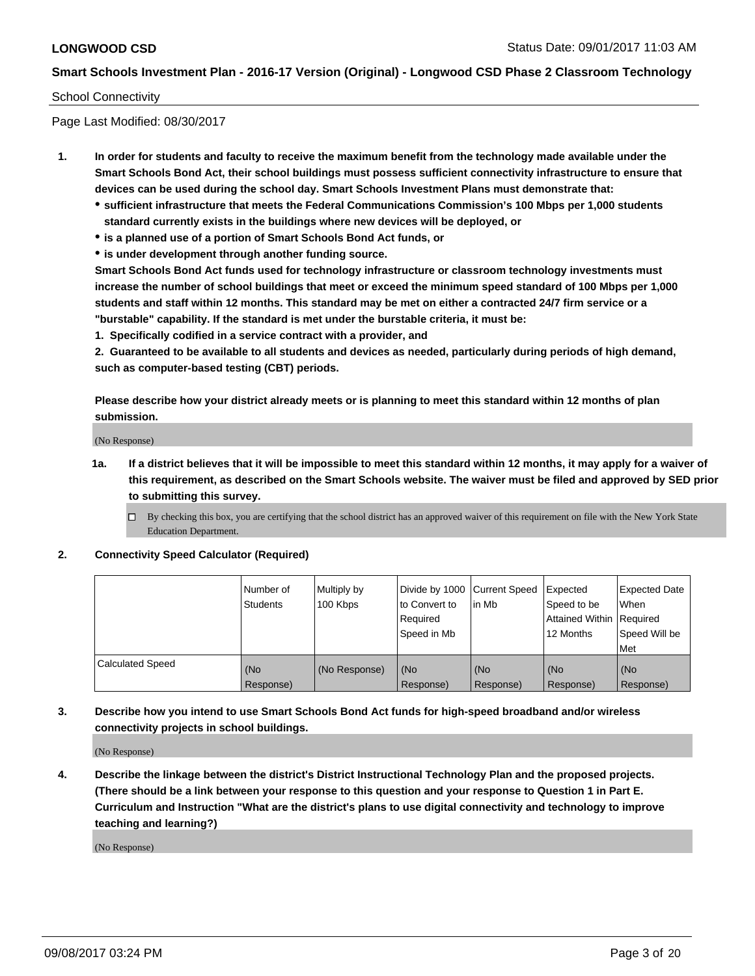## School Connectivity

Page Last Modified: 08/30/2017

- **1. In order for students and faculty to receive the maximum benefit from the technology made available under the Smart Schools Bond Act, their school buildings must possess sufficient connectivity infrastructure to ensure that devices can be used during the school day. Smart Schools Investment Plans must demonstrate that:**
	- **sufficient infrastructure that meets the Federal Communications Commission's 100 Mbps per 1,000 students standard currently exists in the buildings where new devices will be deployed, or**
	- **is a planned use of a portion of Smart Schools Bond Act funds, or**
	- **is under development through another funding source.**

**Smart Schools Bond Act funds used for technology infrastructure or classroom technology investments must increase the number of school buildings that meet or exceed the minimum speed standard of 100 Mbps per 1,000 students and staff within 12 months. This standard may be met on either a contracted 24/7 firm service or a "burstable" capability. If the standard is met under the burstable criteria, it must be:**

**1. Specifically codified in a service contract with a provider, and**

**2. Guaranteed to be available to all students and devices as needed, particularly during periods of high demand, such as computer-based testing (CBT) periods.**

**Please describe how your district already meets or is planning to meet this standard within 12 months of plan submission.**

(No Response)

**1a. If a district believes that it will be impossible to meet this standard within 12 months, it may apply for a waiver of this requirement, as described on the Smart Schools website. The waiver must be filed and approved by SED prior to submitting this survey.**

**2. Connectivity Speed Calculator (Required)**

|                         | I Number of<br><b>Students</b> | Multiply by<br>100 Kbps | Divide by 1000 Current Speed<br>to Convert to<br>Reauired<br>Speed in Mb | in Mb            | Expected<br>Speed to be<br>Attained Within Required<br>12 Months | <b>Expected Date</b><br><b>When</b><br>Speed Will be<br>Met |
|-------------------------|--------------------------------|-------------------------|--------------------------------------------------------------------------|------------------|------------------------------------------------------------------|-------------------------------------------------------------|
| <b>Calculated Speed</b> | (No<br>Response)               | (No Response)           | (No<br>Response)                                                         | (No<br>Response) | (No<br>Response)                                                 | l (No<br>Response)                                          |

**3. Describe how you intend to use Smart Schools Bond Act funds for high-speed broadband and/or wireless connectivity projects in school buildings.**

(No Response)

**4. Describe the linkage between the district's District Instructional Technology Plan and the proposed projects. (There should be a link between your response to this question and your response to Question 1 in Part E. Curriculum and Instruction "What are the district's plans to use digital connectivity and technology to improve teaching and learning?)**

(No Response)

 $\Box$  By checking this box, you are certifying that the school district has an approved waiver of this requirement on file with the New York State Education Department.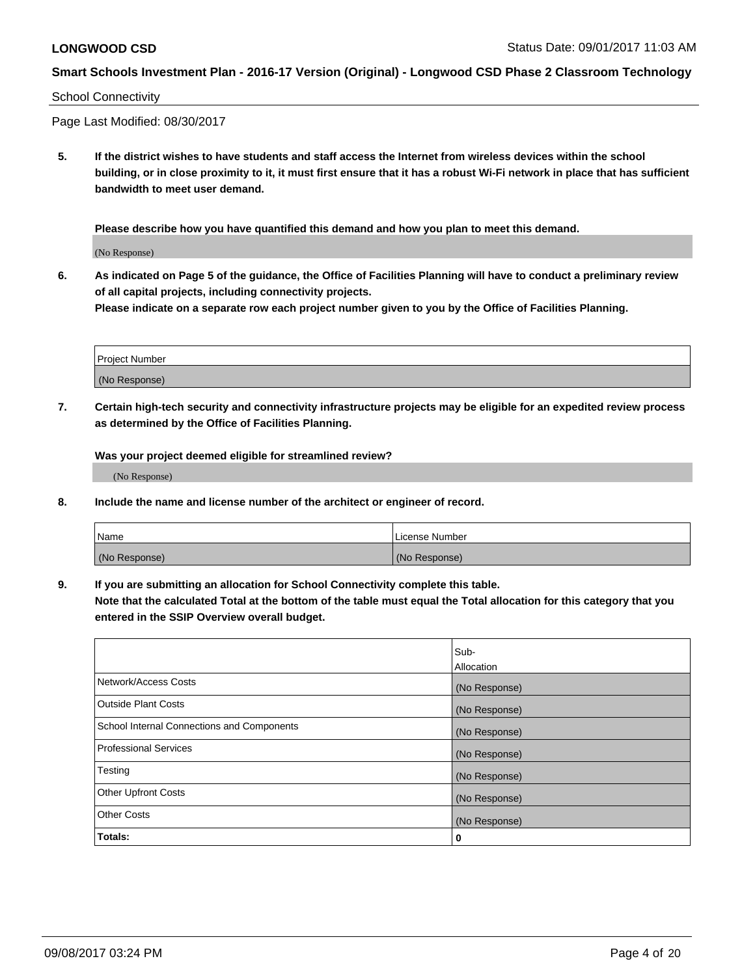## School Connectivity

Page Last Modified: 08/30/2017

**5. If the district wishes to have students and staff access the Internet from wireless devices within the school building, or in close proximity to it, it must first ensure that it has a robust Wi-Fi network in place that has sufficient bandwidth to meet user demand.**

**Please describe how you have quantified this demand and how you plan to meet this demand.**

(No Response)

**6. As indicated on Page 5 of the guidance, the Office of Facilities Planning will have to conduct a preliminary review of all capital projects, including connectivity projects.**

**Please indicate on a separate row each project number given to you by the Office of Facilities Planning.**

| Project Number |  |
|----------------|--|
|                |  |
| (No Response)  |  |

**7. Certain high-tech security and connectivity infrastructure projects may be eligible for an expedited review process as determined by the Office of Facilities Planning.**

**Was your project deemed eligible for streamlined review?**

(No Response)

**8. Include the name and license number of the architect or engineer of record.**

| Name          | License Number |
|---------------|----------------|
| (No Response) | (No Response)  |

**9. If you are submitting an allocation for School Connectivity complete this table.**

**Note that the calculated Total at the bottom of the table must equal the Total allocation for this category that you entered in the SSIP Overview overall budget.** 

|                                            | Sub-          |
|--------------------------------------------|---------------|
|                                            | Allocation    |
| Network/Access Costs                       | (No Response) |
| <b>Outside Plant Costs</b>                 | (No Response) |
| School Internal Connections and Components | (No Response) |
| Professional Services                      | (No Response) |
| Testing                                    | (No Response) |
| <b>Other Upfront Costs</b>                 | (No Response) |
| <b>Other Costs</b>                         | (No Response) |
| Totals:                                    | 0             |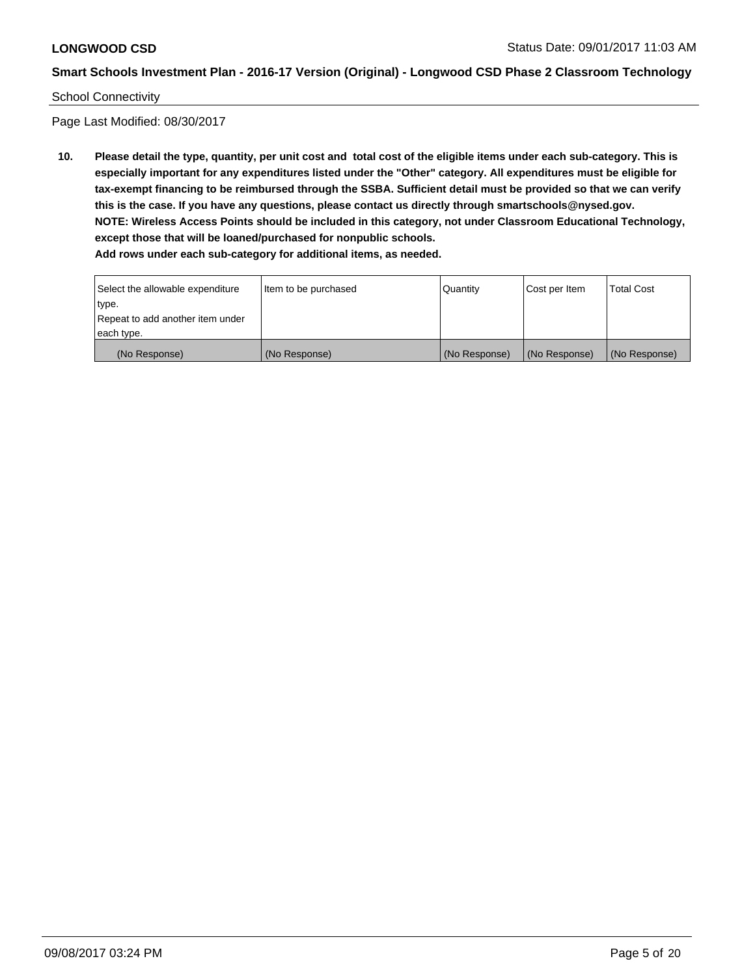### School Connectivity

Page Last Modified: 08/30/2017

**10. Please detail the type, quantity, per unit cost and total cost of the eligible items under each sub-category. This is especially important for any expenditures listed under the "Other" category. All expenditures must be eligible for tax-exempt financing to be reimbursed through the SSBA. Sufficient detail must be provided so that we can verify this is the case. If you have any questions, please contact us directly through smartschools@nysed.gov. NOTE: Wireless Access Points should be included in this category, not under Classroom Educational Technology, except those that will be loaned/purchased for nonpublic schools.**

| Select the allowable expenditure | Item to be purchased | Quantity      | Cost per Item | Total Cost    |
|----------------------------------|----------------------|---------------|---------------|---------------|
| type.                            |                      |               |               |               |
| Repeat to add another item under |                      |               |               |               |
| each type.                       |                      |               |               |               |
| (No Response)                    | (No Response)        | (No Response) | (No Response) | (No Response) |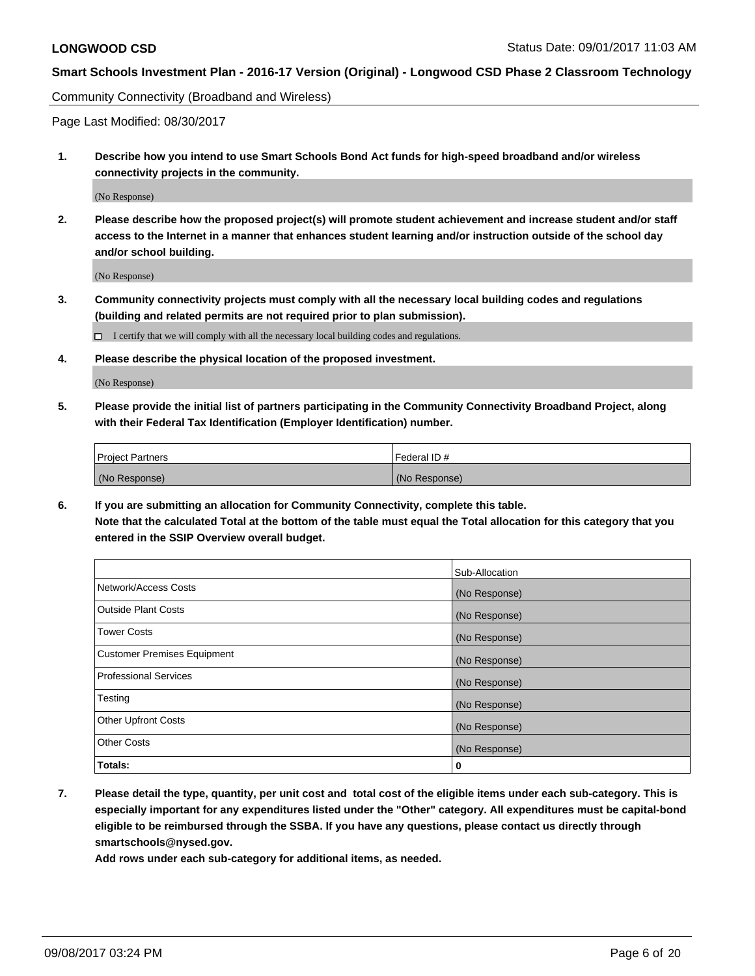Community Connectivity (Broadband and Wireless)

Page Last Modified: 08/30/2017

**1. Describe how you intend to use Smart Schools Bond Act funds for high-speed broadband and/or wireless connectivity projects in the community.**

(No Response)

**2. Please describe how the proposed project(s) will promote student achievement and increase student and/or staff access to the Internet in a manner that enhances student learning and/or instruction outside of the school day and/or school building.**

(No Response)

**3. Community connectivity projects must comply with all the necessary local building codes and regulations (building and related permits are not required prior to plan submission).**

 $\Box$  I certify that we will comply with all the necessary local building codes and regulations.

**4. Please describe the physical location of the proposed investment.**

(No Response)

**5. Please provide the initial list of partners participating in the Community Connectivity Broadband Project, along with their Federal Tax Identification (Employer Identification) number.**

| <b>Project Partners</b> | l Federal ID # |
|-------------------------|----------------|
| (No Response)           | (No Response)  |

**6. If you are submitting an allocation for Community Connectivity, complete this table. Note that the calculated Total at the bottom of the table must equal the Total allocation for this category that you entered in the SSIP Overview overall budget.**

|                                    | Sub-Allocation |
|------------------------------------|----------------|
| Network/Access Costs               | (No Response)  |
| <b>Outside Plant Costs</b>         | (No Response)  |
| <b>Tower Costs</b>                 | (No Response)  |
| <b>Customer Premises Equipment</b> | (No Response)  |
| <b>Professional Services</b>       | (No Response)  |
| Testing                            | (No Response)  |
| <b>Other Upfront Costs</b>         | (No Response)  |
| <b>Other Costs</b>                 | (No Response)  |
| Totals:                            | 0              |

**7. Please detail the type, quantity, per unit cost and total cost of the eligible items under each sub-category. This is especially important for any expenditures listed under the "Other" category. All expenditures must be capital-bond eligible to be reimbursed through the SSBA. If you have any questions, please contact us directly through smartschools@nysed.gov.**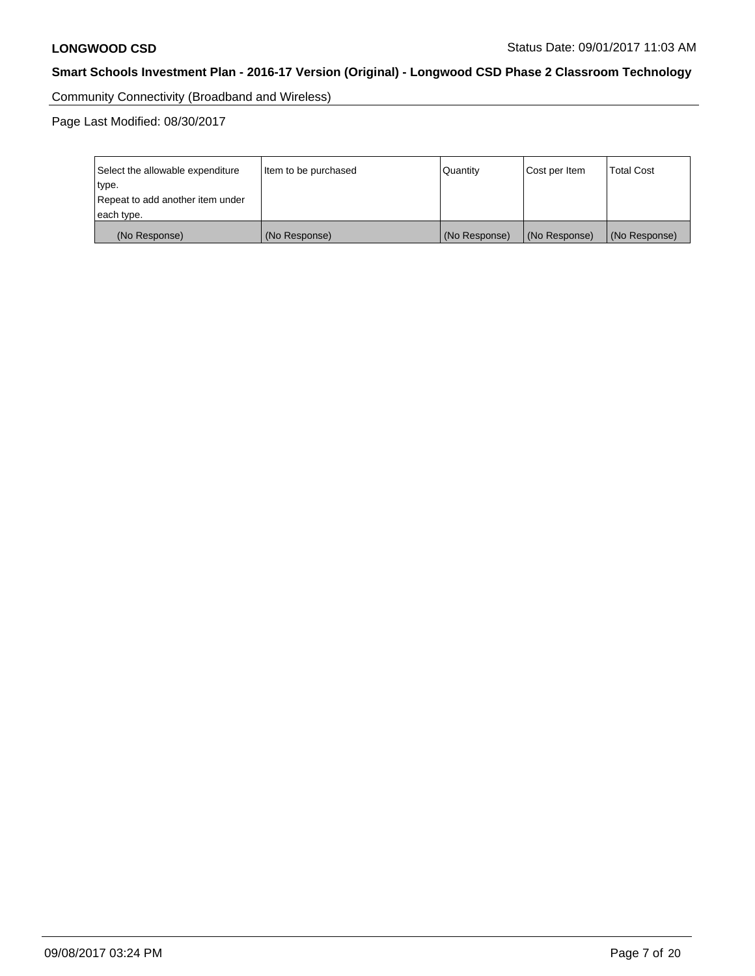Community Connectivity (Broadband and Wireless)

Page Last Modified: 08/30/2017

| Select the allowable expenditure | Item to be purchased | Quantity      | Cost per Item | <b>Total Cost</b> |
|----------------------------------|----------------------|---------------|---------------|-------------------|
| type.                            |                      |               |               |                   |
| Repeat to add another item under |                      |               |               |                   |
| each type.                       |                      |               |               |                   |
| (No Response)                    | (No Response)        | (No Response) | (No Response) | (No Response)     |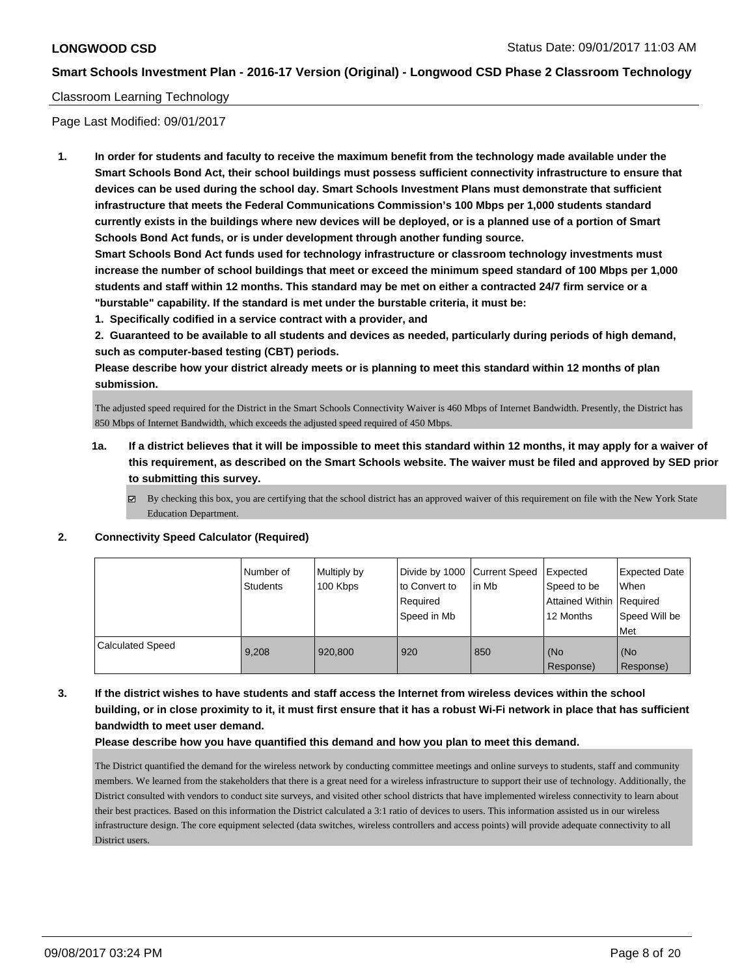## Classroom Learning Technology

Page Last Modified: 09/01/2017

**1. In order for students and faculty to receive the maximum benefit from the technology made available under the Smart Schools Bond Act, their school buildings must possess sufficient connectivity infrastructure to ensure that devices can be used during the school day. Smart Schools Investment Plans must demonstrate that sufficient infrastructure that meets the Federal Communications Commission's 100 Mbps per 1,000 students standard currently exists in the buildings where new devices will be deployed, or is a planned use of a portion of Smart Schools Bond Act funds, or is under development through another funding source.**

**Smart Schools Bond Act funds used for technology infrastructure or classroom technology investments must increase the number of school buildings that meet or exceed the minimum speed standard of 100 Mbps per 1,000 students and staff within 12 months. This standard may be met on either a contracted 24/7 firm service or a "burstable" capability. If the standard is met under the burstable criteria, it must be:**

**1. Specifically codified in a service contract with a provider, and**

**2. Guaranteed to be available to all students and devices as needed, particularly during periods of high demand, such as computer-based testing (CBT) periods.**

**Please describe how your district already meets or is planning to meet this standard within 12 months of plan submission.**

The adjusted speed required for the District in the Smart Schools Connectivity Waiver is 460 Mbps of Internet Bandwidth. Presently, the District has 850 Mbps of Internet Bandwidth, which exceeds the adjusted speed required of 450 Mbps.

- **1a. If a district believes that it will be impossible to meet this standard within 12 months, it may apply for a waiver of this requirement, as described on the Smart Schools website. The waiver must be filed and approved by SED prior to submitting this survey.**
	- $\boxtimes$  By checking this box, you are certifying that the school district has an approved waiver of this requirement on file with the New York State Education Department.

#### **2. Connectivity Speed Calculator (Required)**

|                         | I Number of<br><b>Students</b> | Multiply by<br>100 Kbps | Divide by 1000 Current Speed<br>to Convert to<br>Required<br>Speed in Mb | lin Mb | Expected<br>Speed to be<br>Attained Within   Required<br>12 Months | <b>Expected Date</b><br>When<br>Speed Will be<br><b>Met</b> |
|-------------------------|--------------------------------|-------------------------|--------------------------------------------------------------------------|--------|--------------------------------------------------------------------|-------------------------------------------------------------|
| <b>Calculated Speed</b> | 9.208                          | 920,800                 | 920                                                                      | 850    | (No<br>Response)                                                   | (No<br>Response)                                            |

**3. If the district wishes to have students and staff access the Internet from wireless devices within the school building, or in close proximity to it, it must first ensure that it has a robust Wi-Fi network in place that has sufficient bandwidth to meet user demand.**

#### **Please describe how you have quantified this demand and how you plan to meet this demand.**

The District quantified the demand for the wireless network by conducting committee meetings and online surveys to students, staff and community members. We learned from the stakeholders that there is a great need for a wireless infrastructure to support their use of technology. Additionally, the District consulted with vendors to conduct site surveys, and visited other school districts that have implemented wireless connectivity to learn about their best practices. Based on this information the District calculated a 3:1 ratio of devices to users. This information assisted us in our wireless infrastructure design. The core equipment selected (data switches, wireless controllers and access points) will provide adequate connectivity to all District users.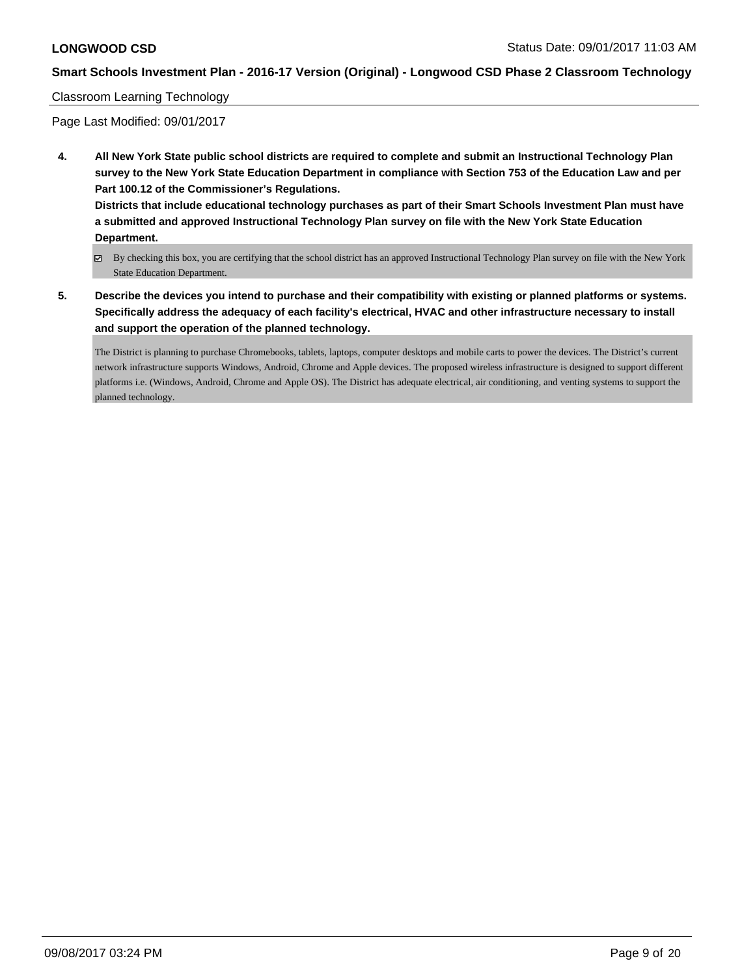## Classroom Learning Technology

Page Last Modified: 09/01/2017

**4. All New York State public school districts are required to complete and submit an Instructional Technology Plan survey to the New York State Education Department in compliance with Section 753 of the Education Law and per Part 100.12 of the Commissioner's Regulations. Districts that include educational technology purchases as part of their Smart Schools Investment Plan must have**

**a submitted and approved Instructional Technology Plan survey on file with the New York State Education Department.**

- By checking this box, you are certifying that the school district has an approved Instructional Technology Plan survey on file with the New York State Education Department.
- **5. Describe the devices you intend to purchase and their compatibility with existing or planned platforms or systems. Specifically address the adequacy of each facility's electrical, HVAC and other infrastructure necessary to install and support the operation of the planned technology.**

The District is planning to purchase Chromebooks, tablets, laptops, computer desktops and mobile carts to power the devices. The District's current network infrastructure supports Windows, Android, Chrome and Apple devices. The proposed wireless infrastructure is designed to support different platforms i.e. (Windows, Android, Chrome and Apple OS). The District has adequate electrical, air conditioning, and venting systems to support the planned technology.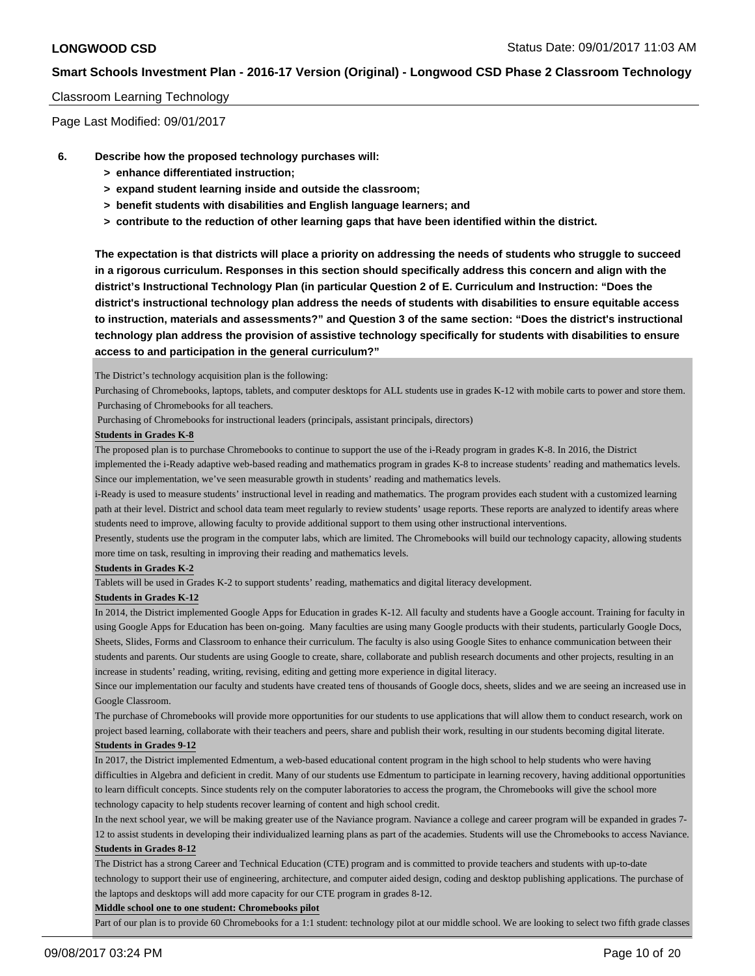### Classroom Learning Technology

Page Last Modified: 09/01/2017

- **6. Describe how the proposed technology purchases will:**
	- **> enhance differentiated instruction;**
	- **> expand student learning inside and outside the classroom;**
	- **> benefit students with disabilities and English language learners; and**
	- **> contribute to the reduction of other learning gaps that have been identified within the district.**

**The expectation is that districts will place a priority on addressing the needs of students who struggle to succeed in a rigorous curriculum. Responses in this section should specifically address this concern and align with the district's Instructional Technology Plan (in particular Question 2 of E. Curriculum and Instruction: "Does the district's instructional technology plan address the needs of students with disabilities to ensure equitable access to instruction, materials and assessments?" and Question 3 of the same section: "Does the district's instructional technology plan address the provision of assistive technology specifically for students with disabilities to ensure access to and participation in the general curriculum?"**

The District's technology acquisition plan is the following:

Purchasing of Chromebooks, laptops, tablets, and computer desktops for ALL students use in grades K-12 with mobile carts to power and store them. Purchasing of Chromebooks for all teachers.

Purchasing of Chromebooks for instructional leaders (principals, assistant principals, directors)

#### **Students in Grades K-8**

The proposed plan is to purchase Chromebooks to continue to support the use of the i-Ready program in grades K-8. In 2016, the District

implemented the i-Ready adaptive web-based reading and mathematics program in grades K-8 to increase students' reading and mathematics levels. Since our implementation, we've seen measurable growth in students' reading and mathematics levels.

i-Ready is used to measure students' instructional level in reading and mathematics. The program provides each student with a customized learning path at their level. District and school data team meet regularly to review students' usage reports. These reports are analyzed to identify areas where students need to improve, allowing faculty to provide additional support to them using other instructional interventions.

Presently, students use the program in the computer labs, which are limited. The Chromebooks will build our technology capacity, allowing students more time on task, resulting in improving their reading and mathematics levels.

#### **Students in Grades K-2**

Tablets will be used in Grades K-2 to support students' reading, mathematics and digital literacy development.

#### **Students in Grades K-12**

In 2014, the District implemented Google Apps for Education in grades K-12. All faculty and students have a Google account. Training for faculty in using Google Apps for Education has been on-going. Many faculties are using many Google products with their students, particularly Google Docs, Sheets, Slides, Forms and Classroom to enhance their curriculum. The faculty is also using Google Sites to enhance communication between their students and parents. Our students are using Google to create, share, collaborate and publish research documents and other projects, resulting in an increase in students' reading, writing, revising, editing and getting more experience in digital literacy.

Since our implementation our faculty and students have created tens of thousands of Google docs, sheets, slides and we are seeing an increased use in Google Classroom.

The purchase of Chromebooks will provide more opportunities for our students to use applications that will allow them to conduct research, work on project based learning, collaborate with their teachers and peers, share and publish their work, resulting in our students becoming digital literate. **Students in Grades 9-12**

In 2017, the District implemented Edmentum, a web-based educational content program in the high school to help students who were having difficulties in Algebra and deficient in credit. Many of our students use Edmentum to participate in learning recovery, having additional opportunities to learn difficult concepts. Since students rely on the computer laboratories to access the program, the Chromebooks will give the school more

technology capacity to help students recover learning of content and high school credit.

In the next school year, we will be making greater use of the Naviance program. Naviance a college and career program will be expanded in grades 7- 12 to assist students in developing their individualized learning plans as part of the academies. Students will use the Chromebooks to access Naviance. **Students in Grades 8-12**

The District has a strong Career and Technical Education (CTE) program and is committed to provide teachers and students with up-to-date technology to support their use of engineering, architecture, and computer aided design, coding and desktop publishing applications. The purchase of the laptops and desktops will add more capacity for our CTE program in grades 8-12.

#### **Middle school one to one student: Chromebooks pilot**

Part of our plan is to provide 60 Chromebooks for a 1:1 student: technology pilot at our middle school. We are looking to select two fifth grade classes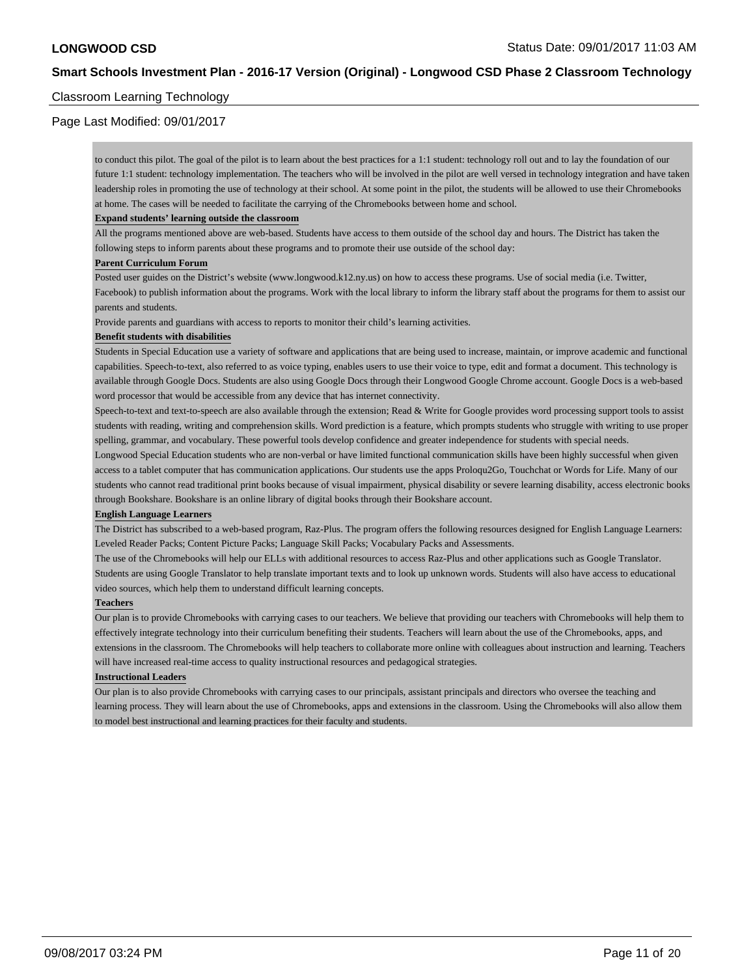## Classroom Learning Technology

## Page Last Modified: 09/01/2017

to conduct this pilot. The goal of the pilot is to learn about the best practices for a 1:1 student: technology roll out and to lay the foundation of our future 1:1 student: technology implementation. The teachers who will be involved in the pilot are well versed in technology integration and have taken leadership roles in promoting the use of technology at their school. At some point in the pilot, the students will be allowed to use their Chromebooks at home. The cases will be needed to facilitate the carrying of the Chromebooks between home and school.

#### **Expand students' learning outside the classroom**

All the programs mentioned above are web-based. Students have access to them outside of the school day and hours. The District has taken the following steps to inform parents about these programs and to promote their use outside of the school day:

#### **Parent Curriculum Forum**

Posted user guides on the District's website (www.longwood.k12.ny.us) on how to access these programs. Use of social media (i.e. Twitter, Facebook) to publish information about the programs. Work with the local library to inform the library staff about the programs for them to assist our parents and students.

Provide parents and guardians with access to reports to monitor their child's learning activities.

#### **Benefit students with disabilities**

Students in Special Education use a variety of software and applications that are being used to increase, maintain, or improve academic and functional capabilities. Speech-to-text, also referred to as voice typing, enables users to use their voice to type, edit and format a document. This technology is available through Google Docs. Students are also using Google Docs through their Longwood Google Chrome account. Google Docs is a web-based word processor that would be accessible from any device that has internet connectivity.

Speech-to-text and text-to-speech are also available through the extension; Read & Write for Google provides word processing support tools to assist students with reading, writing and comprehension skills. Word prediction is a feature, which prompts students who struggle with writing to use proper spelling, grammar, and vocabulary. These powerful tools develop confidence and greater independence for students with special needs.

Longwood Special Education students who are non-verbal or have limited functional communication skills have been highly successful when given access to a tablet computer that has communication applications. Our students use the apps Proloqu2Go, Touchchat or Words for Life. Many of our students who cannot read traditional print books because of visual impairment, physical disability or severe learning disability, access electronic books through Bookshare. Bookshare is an online library of digital books through their Bookshare account.

### **English Language Learners**

The District has subscribed to a web-based program, Raz-Plus. The program offers the following resources designed for English Language Learners: Leveled Reader Packs; Content Picture Packs; Language Skill Packs; Vocabulary Packs and Assessments.

The use of the Chromebooks will help our ELLs with additional resources to access Raz-Plus and other applications such as Google Translator. Students are using Google Translator to help translate important texts and to look up unknown words. Students will also have access to educational video sources, which help them to understand difficult learning concepts.

#### **Teachers**

Our plan is to provide Chromebooks with carrying cases to our teachers. We believe that providing our teachers with Chromebooks will help them to effectively integrate technology into their curriculum benefiting their students. Teachers will learn about the use of the Chromebooks, apps, and extensions in the classroom. The Chromebooks will help teachers to collaborate more online with colleagues about instruction and learning. Teachers will have increased real-time access to quality instructional resources and pedagogical strategies.

#### **Instructional Leaders**

Our plan is to also provide Chromebooks with carrying cases to our principals, assistant principals and directors who oversee the teaching and learning process. They will learn about the use of Chromebooks, apps and extensions in the classroom. Using the Chromebooks will also allow them to model best instructional and learning practices for their faculty and students.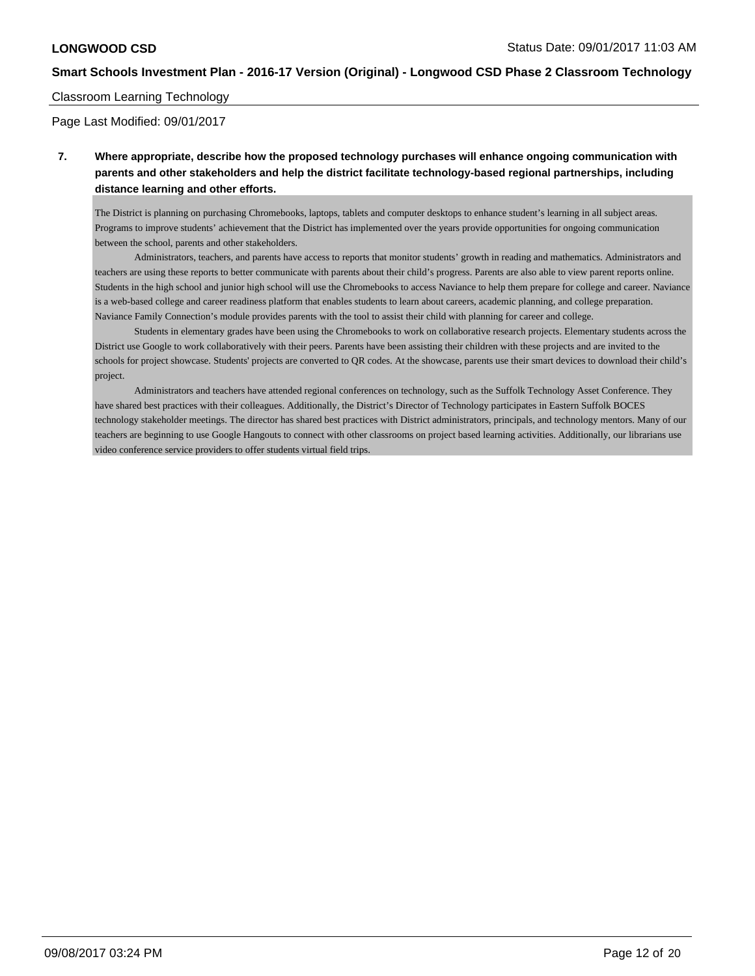## Classroom Learning Technology

Page Last Modified: 09/01/2017

## **7. Where appropriate, describe how the proposed technology purchases will enhance ongoing communication with parents and other stakeholders and help the district facilitate technology-based regional partnerships, including distance learning and other efforts.**

The District is planning on purchasing Chromebooks, laptops, tablets and computer desktops to enhance student's learning in all subject areas. Programs to improve students' achievement that the District has implemented over the years provide opportunities for ongoing communication between the school, parents and other stakeholders.

 Administrators, teachers, and parents have access to reports that monitor students' growth in reading and mathematics. Administrators and teachers are using these reports to better communicate with parents about their child's progress. Parents are also able to view parent reports online. Students in the high school and junior high school will use the Chromebooks to access Naviance to help them prepare for college and career. Naviance is a web-based college and career readiness platform that enables students to learn about careers, academic planning, and college preparation. Naviance Family Connection's module provides parents with the tool to assist their child with planning for career and college.

 Students in elementary grades have been using the Chromebooks to work on collaborative research projects. Elementary students across the District use Google to work collaboratively with their peers. Parents have been assisting their children with these projects and are invited to the schools for project showcase. Students' projects are converted to QR codes. At the showcase, parents use their smart devices to download their child's project.

 Administrators and teachers have attended regional conferences on technology, such as the Suffolk Technology Asset Conference. They have shared best practices with their colleagues. Additionally, the District's Director of Technology participates in Eastern Suffolk BOCES technology stakeholder meetings. The director has shared best practices with District administrators, principals, and technology mentors. Many of our teachers are beginning to use Google Hangouts to connect with other classrooms on project based learning activities. Additionally, our librarians use video conference service providers to offer students virtual field trips.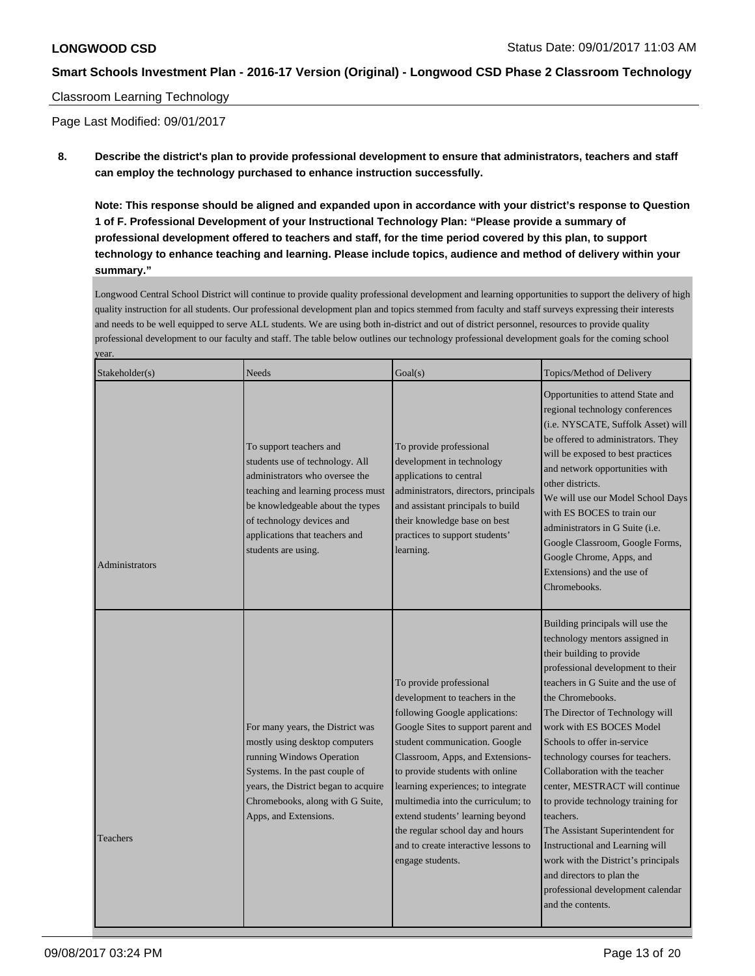## Classroom Learning Technology

Page Last Modified: 09/01/2017

**8. Describe the district's plan to provide professional development to ensure that administrators, teachers and staff can employ the technology purchased to enhance instruction successfully.**

**Note: This response should be aligned and expanded upon in accordance with your district's response to Question 1 of F. Professional Development of your Instructional Technology Plan: "Please provide a summary of professional development offered to teachers and staff, for the time period covered by this plan, to support technology to enhance teaching and learning. Please include topics, audience and method of delivery within your summary."**

Longwood Central School District will continue to provide quality professional development and learning opportunities to support the delivery of high quality instruction for all students. Our professional development plan and topics stemmed from faculty and staff surveys expressing their interests and needs to be well equipped to serve ALL students. We are using both in-district and out of district personnel, resources to provide quality professional development to our faculty and staff. The table below outlines our technology professional development goals for the coming school year.

| Stakeholder(s) | Needs                                                                                                                                                                                                                                                        | Goal(s)                                                                                                                                                                                                                                                                                                                                                                                                                                                   | Topics/Method of Delivery                                                                                                                                                                                                                                                                                                                                                                                                                                                                                                                                                                                                                                    |
|----------------|--------------------------------------------------------------------------------------------------------------------------------------------------------------------------------------------------------------------------------------------------------------|-----------------------------------------------------------------------------------------------------------------------------------------------------------------------------------------------------------------------------------------------------------------------------------------------------------------------------------------------------------------------------------------------------------------------------------------------------------|--------------------------------------------------------------------------------------------------------------------------------------------------------------------------------------------------------------------------------------------------------------------------------------------------------------------------------------------------------------------------------------------------------------------------------------------------------------------------------------------------------------------------------------------------------------------------------------------------------------------------------------------------------------|
| Administrators | To support teachers and<br>students use of technology. All<br>administrators who oversee the<br>teaching and learning process must<br>be knowledgeable about the types<br>of technology devices and<br>applications that teachers and<br>students are using. | To provide professional<br>development in technology<br>applications to central<br>administrators, directors, principals<br>and assistant principals to build<br>their knowledge base on best<br>practices to support students'<br>learning.                                                                                                                                                                                                              | Opportunities to attend State and<br>regional technology conferences<br>(i.e. NYSCATE, Suffolk Asset) will<br>be offered to administrators. They<br>will be exposed to best practices<br>and network opportunities with<br>other districts.<br>We will use our Model School Days<br>with ES BOCES to train our<br>administrators in G Suite ( <i>i.e.</i><br>Google Classroom, Google Forms,<br>Google Chrome, Apps, and<br>Extensions) and the use of<br>Chromebooks.                                                                                                                                                                                       |
| Teachers       | For many years, the District was<br>mostly using desktop computers<br>running Windows Operation<br>Systems. In the past couple of<br>years, the District began to acquire<br>Chromebooks, along with G Suite,<br>Apps, and Extensions.                       | To provide professional<br>development to teachers in the<br>following Google applications:<br>Google Sites to support parent and<br>student communication. Google<br>Classroom, Apps, and Extensions-<br>to provide students with online<br>learning experiences; to integrate<br>multimedia into the curriculum; to<br>extend students' learning beyond<br>the regular school day and hours<br>and to create interactive lessons to<br>engage students. | Building principals will use the<br>technology mentors assigned in<br>their building to provide<br>professional development to their<br>teachers in G Suite and the use of<br>the Chromebooks.<br>The Director of Technology will<br>work with ES BOCES Model<br>Schools to offer in-service<br>technology courses for teachers.<br>Collaboration with the teacher<br>center, MESTRACT will continue<br>to provide technology training for<br>teachers.<br>The Assistant Superintendent for<br>Instructional and Learning will<br>work with the District's principals<br>and directors to plan the<br>professional development calendar<br>and the contents. |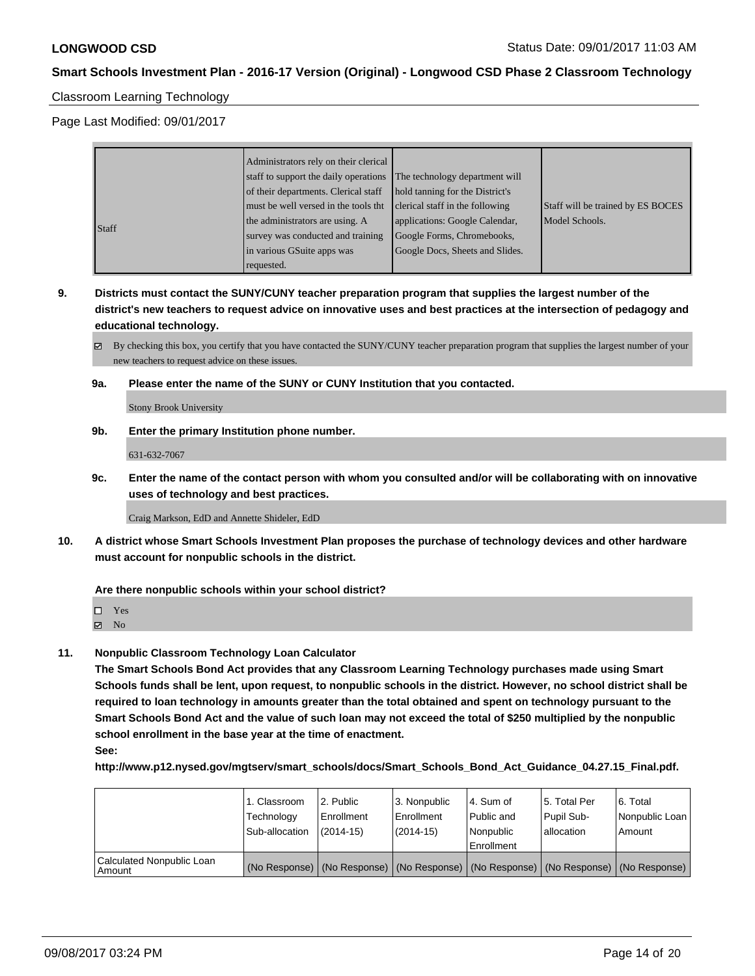## Classroom Learning Technology

Page Last Modified: 09/01/2017

|       | Administrators rely on their clerical |                                 |                                   |
|-------|---------------------------------------|---------------------------------|-----------------------------------|
|       | staff to support the daily operations | The technology department will  |                                   |
|       | of their departments. Clerical staff  | hold tanning for the District's |                                   |
|       | must be well versed in the tools tht  | clerical staff in the following | Staff will be trained by ES BOCES |
| Staff | the administrators are using. A       | applications: Google Calendar,  | Model Schools.                    |
|       | survey was conducted and training     | Google Forms, Chromebooks,      |                                   |
|       | in various GSuite apps was            | Google Docs, Sheets and Slides. |                                   |
|       | requested.                            |                                 |                                   |

**9. Districts must contact the SUNY/CUNY teacher preparation program that supplies the largest number of the district's new teachers to request advice on innovative uses and best practices at the intersection of pedagogy and educational technology.**

By checking this box, you certify that you have contacted the SUNY/CUNY teacher preparation program that supplies the largest number of your new teachers to request advice on these issues.

**9a. Please enter the name of the SUNY or CUNY Institution that you contacted.**

Stony Brook University

**9b. Enter the primary Institution phone number.**

631-632-7067

**9c. Enter the name of the contact person with whom you consulted and/or will be collaborating with on innovative uses of technology and best practices.**

Craig Markson, EdD and Annette Shideler, EdD

**10. A district whose Smart Schools Investment Plan proposes the purchase of technology devices and other hardware must account for nonpublic schools in the district.**

#### **Are there nonpublic schools within your school district?**

- Yes
- $\boxtimes$  No
- **11. Nonpublic Classroom Technology Loan Calculator**

**The Smart Schools Bond Act provides that any Classroom Learning Technology purchases made using Smart Schools funds shall be lent, upon request, to nonpublic schools in the district. However, no school district shall be required to loan technology in amounts greater than the total obtained and spent on technology pursuant to the Smart Schools Bond Act and the value of such loan may not exceed the total of \$250 multiplied by the nonpublic school enrollment in the base year at the time of enactment. See:**

**http://www.p12.nysed.gov/mgtserv/smart\_schools/docs/Smart\_Schools\_Bond\_Act\_Guidance\_04.27.15\_Final.pdf.**

|                                       | 1. Classroom<br>Technology<br>Sub-allocation | 2. Public<br>l Enrollment<br>$(2014-15)$                                                      | l 3. Nonpublic<br>Enrollment<br>$(2014-15)$ | l 4. Sum of<br>l Public and<br>l Nonpublic | 15. Total Per<br>Pupil Sub-<br>lallocation | 6. Total<br>Nonpublic Loan<br>Amount |
|---------------------------------------|----------------------------------------------|-----------------------------------------------------------------------------------------------|---------------------------------------------|--------------------------------------------|--------------------------------------------|--------------------------------------|
|                                       |                                              |                                                                                               |                                             | l Enrollment                               |                                            |                                      |
| Calculated Nonpublic Loan<br>  Amount |                                              | (No Response)   (No Response)   (No Response)   (No Response)   (No Response)   (No Response) |                                             |                                            |                                            |                                      |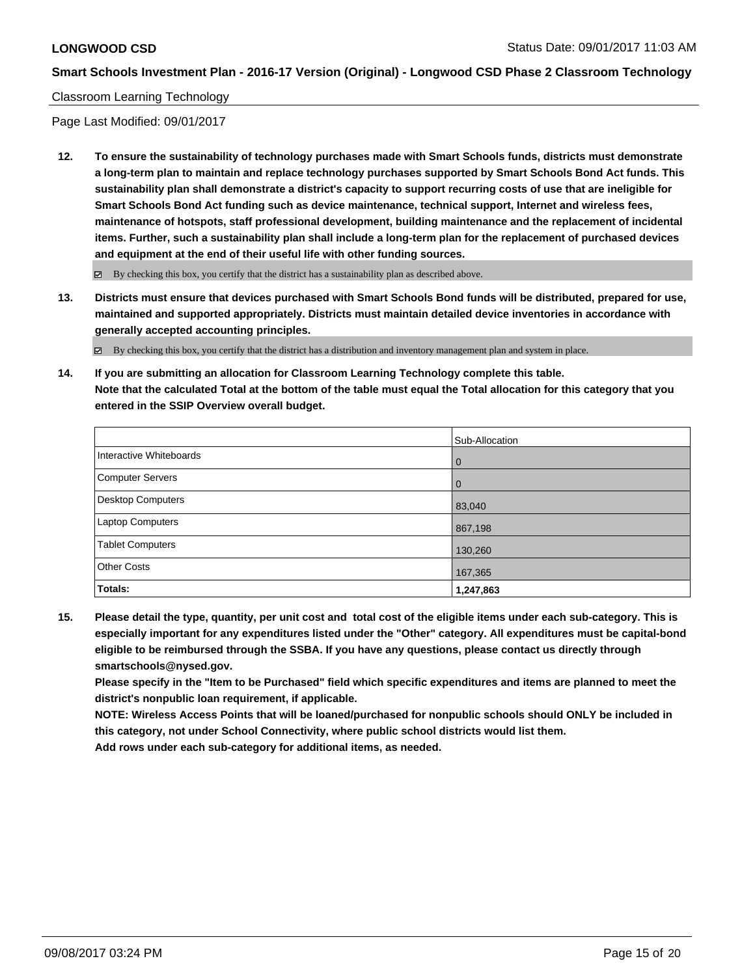## Classroom Learning Technology

Page Last Modified: 09/01/2017

**12. To ensure the sustainability of technology purchases made with Smart Schools funds, districts must demonstrate a long-term plan to maintain and replace technology purchases supported by Smart Schools Bond Act funds. This sustainability plan shall demonstrate a district's capacity to support recurring costs of use that are ineligible for Smart Schools Bond Act funding such as device maintenance, technical support, Internet and wireless fees, maintenance of hotspots, staff professional development, building maintenance and the replacement of incidental items. Further, such a sustainability plan shall include a long-term plan for the replacement of purchased devices and equipment at the end of their useful life with other funding sources.**

 $\boxtimes$  By checking this box, you certify that the district has a sustainability plan as described above.

**13. Districts must ensure that devices purchased with Smart Schools Bond funds will be distributed, prepared for use, maintained and supported appropriately. Districts must maintain detailed device inventories in accordance with generally accepted accounting principles.**

By checking this box, you certify that the district has a distribution and inventory management plan and system in place.

**14. If you are submitting an allocation for Classroom Learning Technology complete this table. Note that the calculated Total at the bottom of the table must equal the Total allocation for this category that you entered in the SSIP Overview overall budget.**

|                         | Sub-Allocation |
|-------------------------|----------------|
| Interactive Whiteboards | l 0            |
| Computer Servers        | l 0            |
| Desktop Computers       | 83,040         |
| <b>Laptop Computers</b> | 867,198        |
| <b>Tablet Computers</b> | 130,260        |
| <b>Other Costs</b>      | 167,365        |
| Totals:                 | 1,247,863      |

**15. Please detail the type, quantity, per unit cost and total cost of the eligible items under each sub-category. This is especially important for any expenditures listed under the "Other" category. All expenditures must be capital-bond eligible to be reimbursed through the SSBA. If you have any questions, please contact us directly through smartschools@nysed.gov.**

**Please specify in the "Item to be Purchased" field which specific expenditures and items are planned to meet the district's nonpublic loan requirement, if applicable.**

**NOTE: Wireless Access Points that will be loaned/purchased for nonpublic schools should ONLY be included in this category, not under School Connectivity, where public school districts would list them.**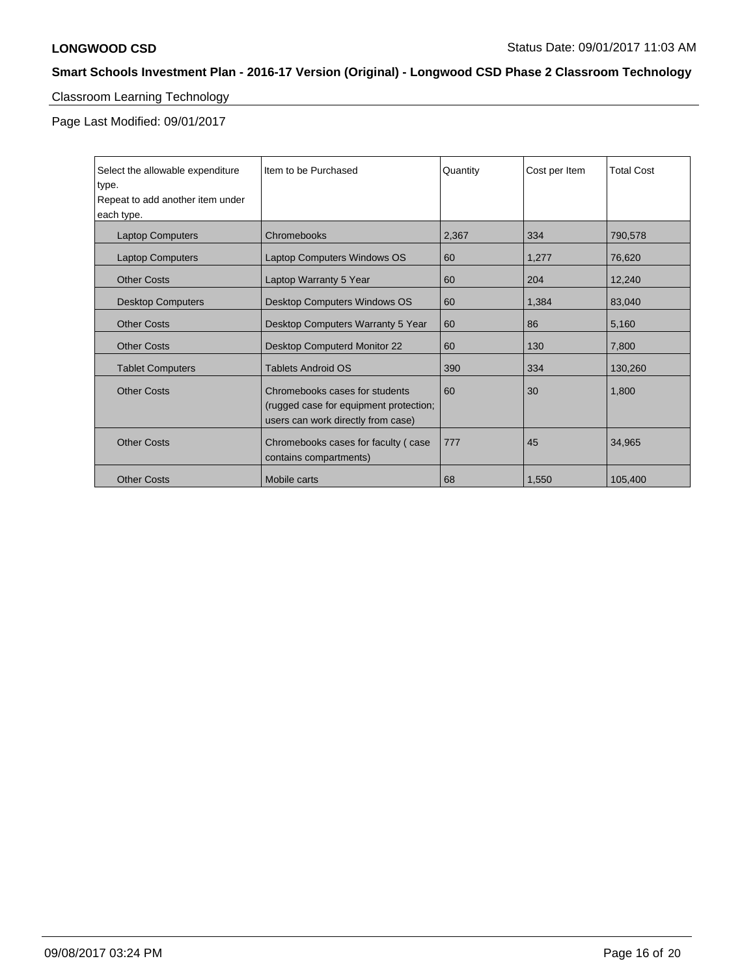# Classroom Learning Technology

Page Last Modified: 09/01/2017

| Select the allowable expenditure<br>type.<br>Repeat to add another item under<br>each type. | Item to be Purchased                                                                                           | Quantity | Cost per Item | <b>Total Cost</b> |
|---------------------------------------------------------------------------------------------|----------------------------------------------------------------------------------------------------------------|----------|---------------|-------------------|
| <b>Laptop Computers</b>                                                                     | Chromebooks                                                                                                    | 2,367    | 334           | 790,578           |
| <b>Laptop Computers</b>                                                                     | Laptop Computers Windows OS                                                                                    | 60       | 1,277         | 76,620            |
| <b>Other Costs</b>                                                                          | Laptop Warranty 5 Year                                                                                         | 60       | 204           | 12,240            |
| <b>Desktop Computers</b>                                                                    | Desktop Computers Windows OS                                                                                   | 60       | 1,384         | 83,040            |
| <b>Other Costs</b>                                                                          | Desktop Computers Warranty 5 Year                                                                              | 60       | 86            | 5,160             |
| <b>Other Costs</b>                                                                          | <b>Desktop Computerd Monitor 22</b>                                                                            | 60       | 130           | 7,800             |
| <b>Tablet Computers</b>                                                                     | <b>Tablets Android OS</b>                                                                                      | 390      | 334           | 130,260           |
| <b>Other Costs</b>                                                                          | Chromebooks cases for students<br>(rugged case for equipment protection;<br>users can work directly from case) | 60       | 30            | 1,800             |
| <b>Other Costs</b>                                                                          | Chromebooks cases for faculty (case)<br>contains compartments)                                                 | 777      | 45            | 34,965            |
| <b>Other Costs</b>                                                                          | Mobile carts                                                                                                   | 68       | 1,550         | 105,400           |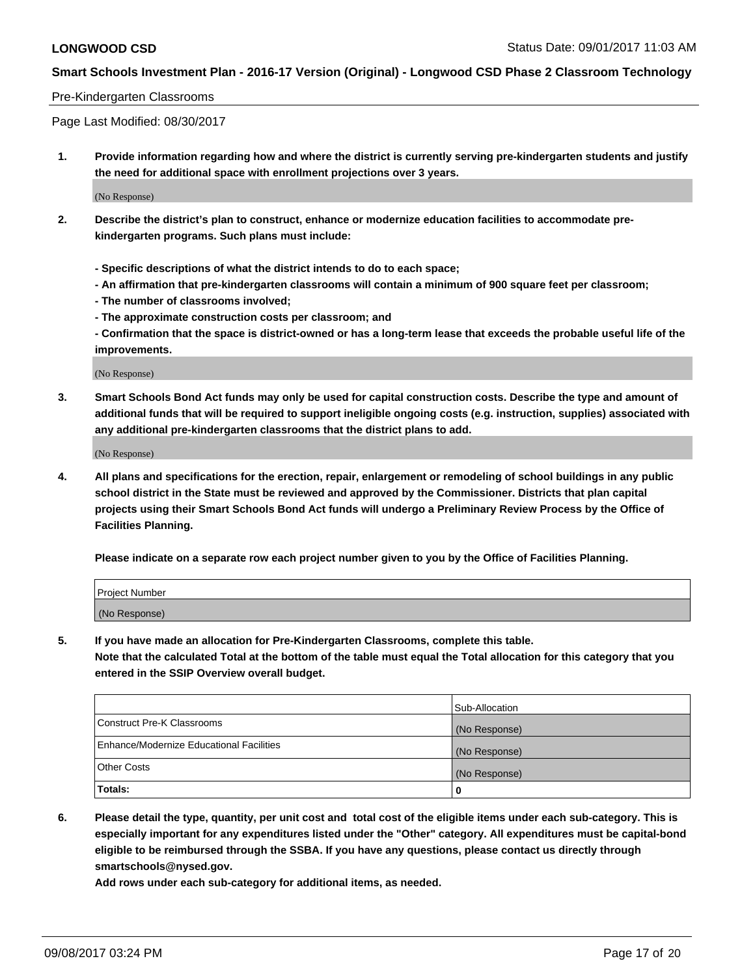## Pre-Kindergarten Classrooms

Page Last Modified: 08/30/2017

**1. Provide information regarding how and where the district is currently serving pre-kindergarten students and justify the need for additional space with enrollment projections over 3 years.**

(No Response)

- **2. Describe the district's plan to construct, enhance or modernize education facilities to accommodate prekindergarten programs. Such plans must include:**
	- **Specific descriptions of what the district intends to do to each space;**
	- **An affirmation that pre-kindergarten classrooms will contain a minimum of 900 square feet per classroom;**
	- **The number of classrooms involved;**
	- **The approximate construction costs per classroom; and**

**- Confirmation that the space is district-owned or has a long-term lease that exceeds the probable useful life of the improvements.**

(No Response)

**3. Smart Schools Bond Act funds may only be used for capital construction costs. Describe the type and amount of additional funds that will be required to support ineligible ongoing costs (e.g. instruction, supplies) associated with any additional pre-kindergarten classrooms that the district plans to add.**

(No Response)

**4. All plans and specifications for the erection, repair, enlargement or remodeling of school buildings in any public school district in the State must be reviewed and approved by the Commissioner. Districts that plan capital projects using their Smart Schools Bond Act funds will undergo a Preliminary Review Process by the Office of Facilities Planning.**

**Please indicate on a separate row each project number given to you by the Office of Facilities Planning.**

| Project Number |  |
|----------------|--|
| (No Response)  |  |

**5. If you have made an allocation for Pre-Kindergarten Classrooms, complete this table.**

**Note that the calculated Total at the bottom of the table must equal the Total allocation for this category that you entered in the SSIP Overview overall budget.**

|                                          | Sub-Allocation |
|------------------------------------------|----------------|
| Construct Pre-K Classrooms               | (No Response)  |
| Enhance/Modernize Educational Facilities | (No Response)  |
| <b>Other Costs</b>                       | (No Response)  |
| <b>Totals:</b>                           | 0              |

**6. Please detail the type, quantity, per unit cost and total cost of the eligible items under each sub-category. This is especially important for any expenditures listed under the "Other" category. All expenditures must be capital-bond eligible to be reimbursed through the SSBA. If you have any questions, please contact us directly through smartschools@nysed.gov.**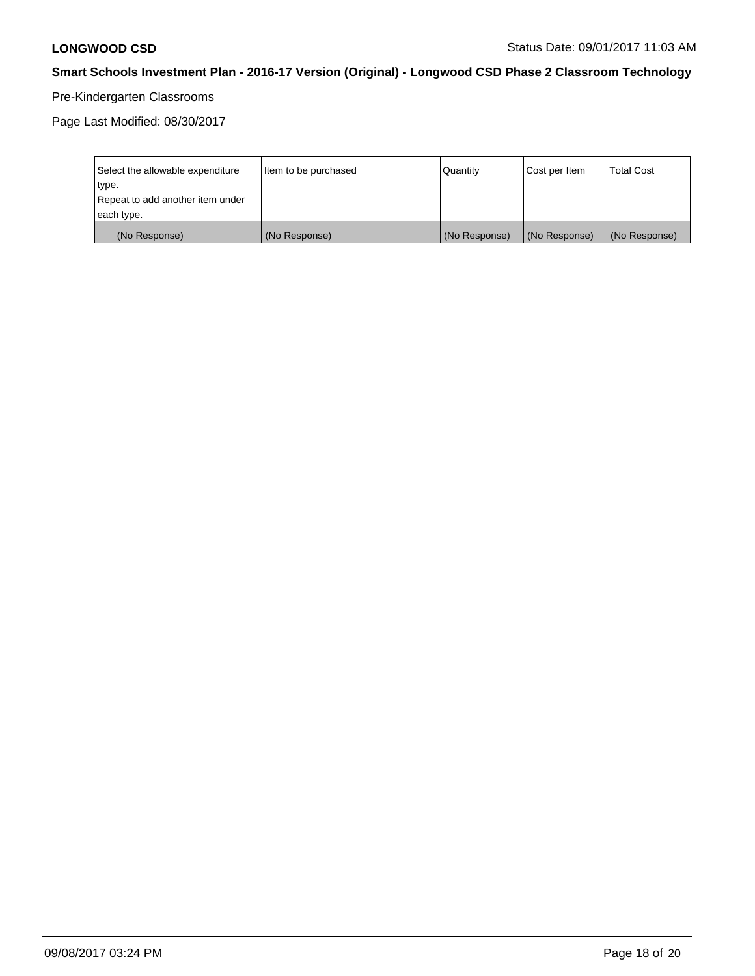# Pre-Kindergarten Classrooms

Page Last Modified: 08/30/2017

| Select the allowable expenditure | Item to be purchased | Quantity      | Cost per Item | <b>Total Cost</b> |
|----------------------------------|----------------------|---------------|---------------|-------------------|
| type.                            |                      |               |               |                   |
| Repeat to add another item under |                      |               |               |                   |
| each type.                       |                      |               |               |                   |
| (No Response)                    | (No Response)        | (No Response) | (No Response) | (No Response)     |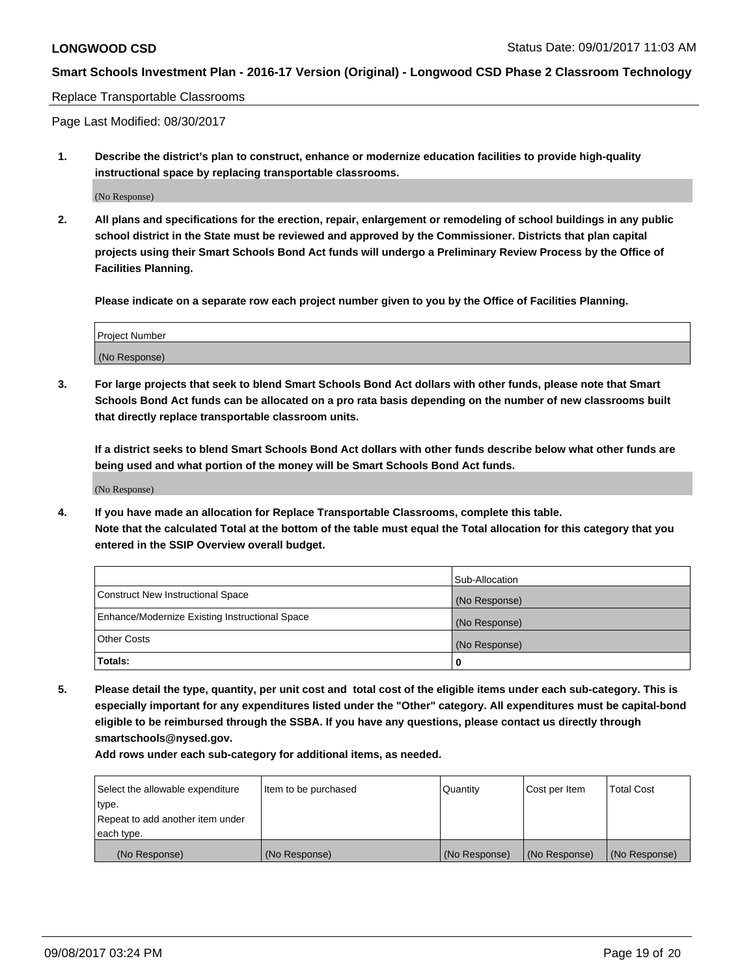#### Replace Transportable Classrooms

Page Last Modified: 08/30/2017

**1. Describe the district's plan to construct, enhance or modernize education facilities to provide high-quality instructional space by replacing transportable classrooms.**

(No Response)

**2. All plans and specifications for the erection, repair, enlargement or remodeling of school buildings in any public school district in the State must be reviewed and approved by the Commissioner. Districts that plan capital projects using their Smart Schools Bond Act funds will undergo a Preliminary Review Process by the Office of Facilities Planning.**

**Please indicate on a separate row each project number given to you by the Office of Facilities Planning.**

| <b>Project Number</b> |  |
|-----------------------|--|
| (No Response)         |  |

**3. For large projects that seek to blend Smart Schools Bond Act dollars with other funds, please note that Smart Schools Bond Act funds can be allocated on a pro rata basis depending on the number of new classrooms built that directly replace transportable classroom units.**

**If a district seeks to blend Smart Schools Bond Act dollars with other funds describe below what other funds are being used and what portion of the money will be Smart Schools Bond Act funds.**

(No Response)

**4. If you have made an allocation for Replace Transportable Classrooms, complete this table. Note that the calculated Total at the bottom of the table must equal the Total allocation for this category that you entered in the SSIP Overview overall budget.**

|                                                | Sub-Allocation |
|------------------------------------------------|----------------|
| Construct New Instructional Space              | (No Response)  |
| Enhance/Modernize Existing Instructional Space | (No Response)  |
| <b>Other Costs</b>                             | (No Response)  |
| Totals:                                        | 0              |

**5. Please detail the type, quantity, per unit cost and total cost of the eligible items under each sub-category. This is especially important for any expenditures listed under the "Other" category. All expenditures must be capital-bond eligible to be reimbursed through the SSBA. If you have any questions, please contact us directly through smartschools@nysed.gov.**

| Select the allowable expenditure<br>type.      | Item to be purchased | Quantity      | Cost per Item | <b>Total Cost</b> |
|------------------------------------------------|----------------------|---------------|---------------|-------------------|
| Repeat to add another item under<br>each type. |                      |               |               |                   |
| (No Response)                                  | (No Response)        | (No Response) | (No Response) | (No Response)     |